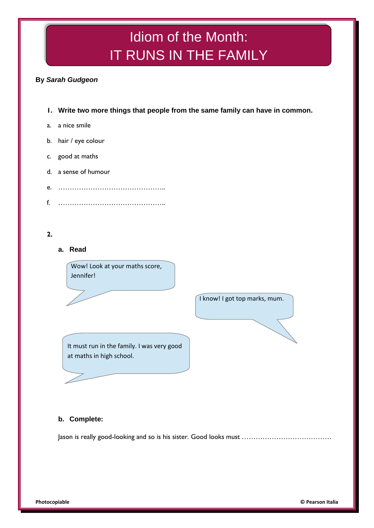# Idiom of the Month: IT RUNS IN THE FAMILY

# **By** *Sarah Gudgeon*

- **1. Write two more things that people from the same family can have in common.**
- a. a nice smile
- b. hair / eye colour
- c. good at maths
- d. a sense of humour
- e. ………………………………………..
- f. ………………………………………..

# **2.**

**a. Read**

Wow! Look at your maths score, Jennifer!

I know! I got top marks, mum.

It must run in the family. I was very good at maths in high school.

## **b. Complete:**

Jason is really good-looking and so is his sister. Good looks must …………………………………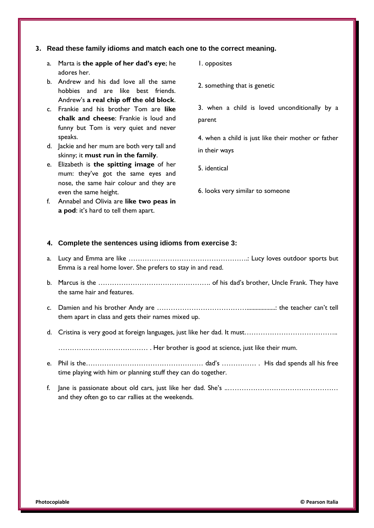#### **3. Read these family idioms and match each one to the correct meaning.**

- a. Marta is **the apple of her dad's eye**; he adores her.
- b. Andrew and his dad love all the same hobbies and are like best friends. Andrew's **a real chip off the old block**.
- c. Frankie and his brother Tom are **like chalk and cheese**: Frankie is loud and funny but Tom is very quiet and never speaks.
- d. Jackie and her mum are both very tall and skinny; it **must run in the family**.
- e. Elizabeth is **the spitting image** of her mum: they've got the same eyes and nose, the same hair colour and they are even the same height.
- f. Annabel and Olivia are **like two peas in a pod**: it's hard to tell them apart.
- 1. opposites
- 2. something that is genetic

3. when a child is loved unconditionally by a parent

4. when a child is just like their mother or father in their ways

- 5. identical
- 6. looks very similar to someone

#### **4. Complete the sentences using idioms from exercise 3:**

- a. Lucy and Emma are like …………………………………………….: Lucy loves outdoor sports but Emma is a real home lover. She prefers to stay in and read.
- b. Marcus is the …………………………………………. of his dad's brother, Uncle Frank. They have the same hair and features.
- c. Damien and his brother Andy are …………………………………...................: the teacher can't tell them apart in class and gets their names mixed up.
- d. Cristina is very good at foreign languages, just like her dad. It must…………………………………..

………………………………… . Her brother is good at science, just like their mum.

- e. Phil is the…………………………………………… dad's …………… . His dad spends all his free time playing with him or planning stuff they can do together.
- f. Jane is passionate about old cars, just like her dad. She's ..………………………………………… and they often go to car rallies at the weekends.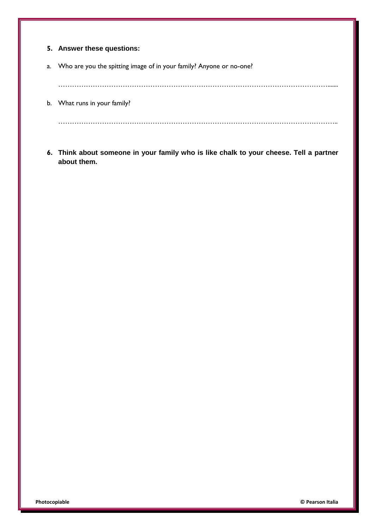|    | 5. Answer these questions:                                          |
|----|---------------------------------------------------------------------|
| a. | Who are you the spitting image of in your family? Anyone or no-one? |
|    |                                                                     |
| b. | What runs in your family?                                           |
|    |                                                                     |

**6. Think about someone in your family who is like chalk to your cheese. Tell a partner about them.**